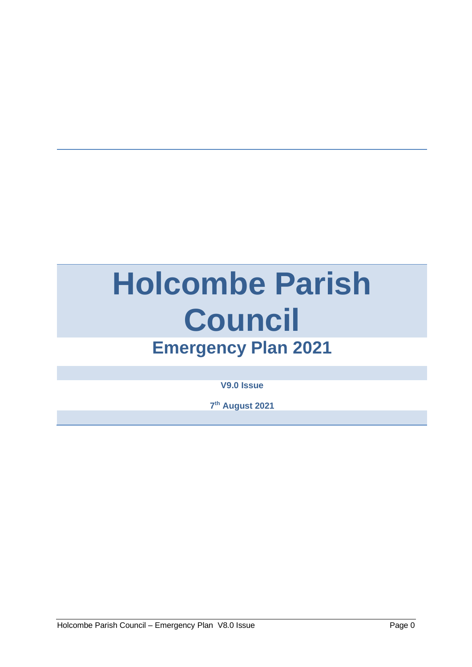# **Holcombe Parish Council Emergency Plan 2021**

**V9.0 Issue**

**7 th August 2021**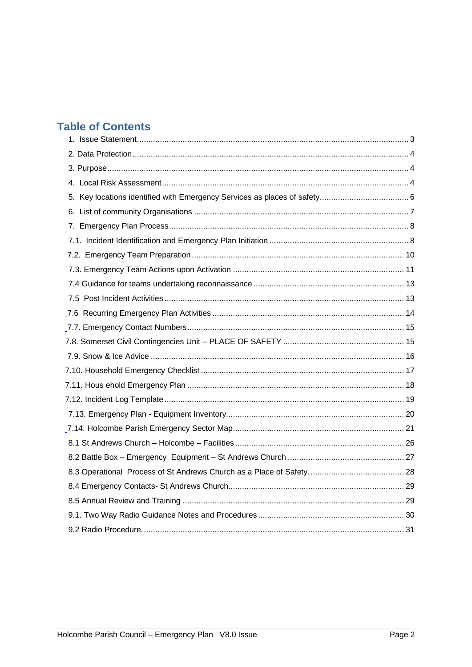# **Table of Contents**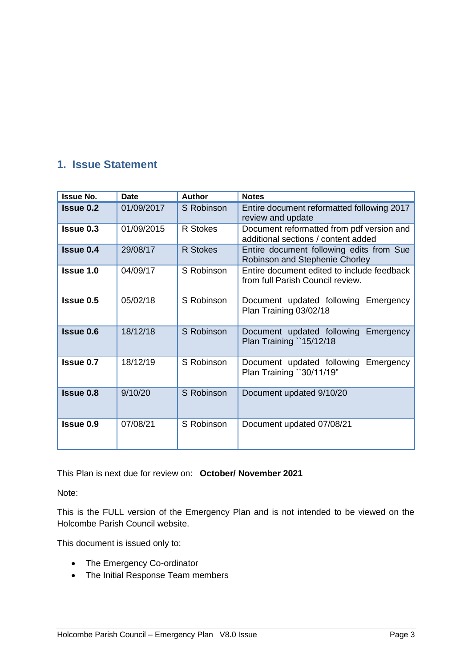# <span id="page-3-0"></span>**1. Issue Statement**

| <b>Issue No.</b> | <b>Date</b> | <b>Author</b>   | <b>Notes</b>                                                                     |
|------------------|-------------|-----------------|----------------------------------------------------------------------------------|
| <b>Issue 0.2</b> | 01/09/2017  | S Robinson      | Entire document reformatted following 2017<br>review and update                  |
| <b>Issue 0.3</b> | 01/09/2015  | R Stokes        | Document reformatted from pdf version and<br>additional sections / content added |
| <b>Issue 0.4</b> | 29/08/17    | <b>R</b> Stokes | Entire document following edits from Sue<br>Robinson and Stephenie Chorley       |
| <b>Issue 1.0</b> | 04/09/17    | S Robinson      | Entire document edited to include feedback<br>from full Parish Council review.   |
| Issue 0.5        | 05/02/18    | S Robinson      | Document updated following Emergency<br>Plan Training 03/02/18                   |
| <b>Issue 0.6</b> | 18/12/18    | S Robinson      | Document updated following Emergency<br>Plan Training `15/12/18                  |
| <b>Issue 0.7</b> | 18/12/19    | S Robinson      | Document updated following Emergency<br>Plan Training `'30/11/19"                |
| <b>Issue 0.8</b> | 9/10/20     | S Robinson      | Document updated 9/10/20                                                         |
| <b>Issue 0.9</b> | 07/08/21    | S Robinson      | Document updated 07/08/21                                                        |

This Plan is next due for review on: **October/ November 2021**

Note:

This is the FULL version of the Emergency Plan and is not intended to be viewed on the Holcombe Parish Council website.

This document is issued only to:

- The Emergency Co-ordinator
- The Initial Response Team members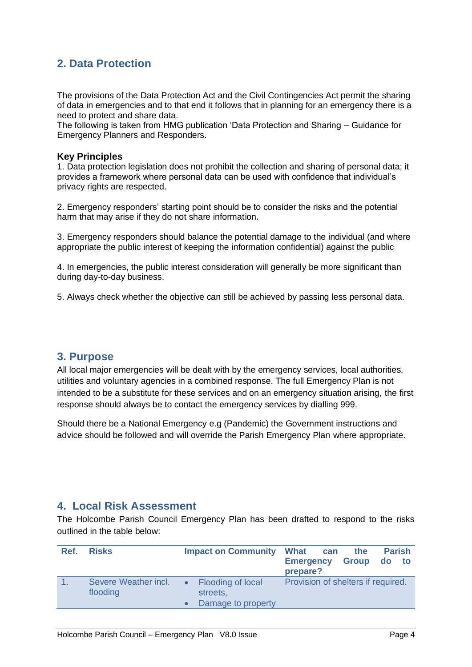# <span id="page-4-0"></span>**2. Data Protection**

The provisions of the Data Protection Act and the Civil Contingencies Act permit the sharing of data in emergencies and to that end it follows that in planning for an emergency there is a need to protect and share data.

The following is taken from HMG publication 'Data Protection and Sharing – Guidance for Emergency Planners and Responders.

#### **Key Principles**

1. Data protection legislation does not prohibit the collection and sharing of personal data; it provides a framework where personal data can be used with confidence that individual's privacy rights are respected.

2. Emergency responders' starting point should be to consider the risks and the potential harm that may arise if they do not share information.

3. Emergency responders should balance the potential damage to the individual (and where appropriate the public interest of keeping the information confidential) against the public

4. In emergencies, the public interest consideration will generally be more significant than during day-to-day business.

5. Always check whether the objective can still be achieved by passing less personal data.

### <span id="page-4-1"></span>**3. Purpose**

All local major emergencies will be dealt with by the emergency services, local authorities, utilities and voluntary agencies in a combined response. The full Emergency Plan is not intended to be a substitute for these services and on an emergency situation arising, the first response should always be to contact the emergency services by dialling 999.

Should there be a National Emergency e.g (Pandemic) the Government instructions and advice should be followed and will override the Parish Emergency Plan where appropriate.

### <span id="page-4-2"></span>**4. Local Risk Assessment**

The Holcombe Parish Council Emergency Plan has been drafted to respond to the risks outlined in the table below:

| Ref. | <b>Risks</b>                     | <b>Impact on Community</b>                          | <b>Parish</b><br>What can<br>the<br><b>Group</b><br><b>Emergency</b><br>do to<br>prepare? |
|------|----------------------------------|-----------------------------------------------------|-------------------------------------------------------------------------------------------|
|      | Severe Weather incl.<br>flooding | Flooding of local<br>streets,<br>Damage to property | Provision of shelters if required.                                                        |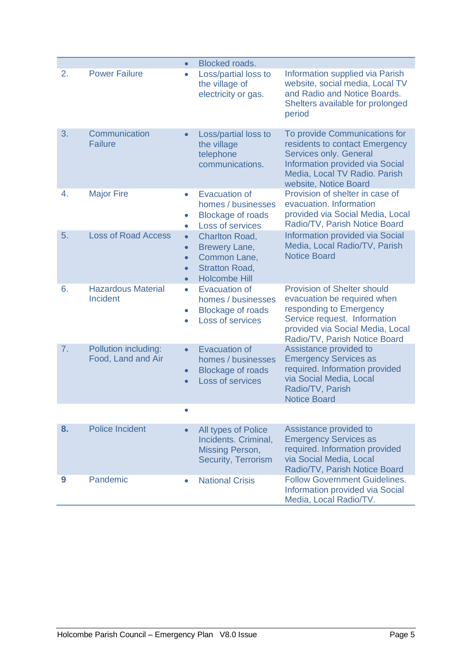<span id="page-5-0"></span>

|    |                                            | $\bullet$                                                     | <b>Blocked roads.</b>                                                                                   |                                                                                                                                                                                                   |
|----|--------------------------------------------|---------------------------------------------------------------|---------------------------------------------------------------------------------------------------------|---------------------------------------------------------------------------------------------------------------------------------------------------------------------------------------------------|
| 2. | <b>Power Failure</b>                       | $\bullet$                                                     | Loss/partial loss to<br>the village of<br>electricity or gas.                                           | Information supplied via Parish<br>website, social media, Local TV<br>and Radio and Notice Boards.<br>Shelters available for prolonged<br>period                                                  |
| 3. | Communication<br><b>Failure</b>            | $\bullet$                                                     | Loss/partial loss to<br>the village<br>telephone<br>communications.                                     | To provide Communications for<br>residents to contact Emergency<br>Services only. General<br><b>Information provided via Social</b><br>Media, Local TV Radio. Parish<br>website, Notice Board     |
| 4. | <b>Major Fire</b>                          | ۰<br>$\bullet$<br>$\bullet$                                   | <b>Evacuation of</b><br>homes / businesses<br><b>Blockage of roads</b><br>Loss of services              | Provision of shelter in case of<br>evacuation. Information<br>provided via Social Media, Local<br>Radio/TV, Parish Notice Board                                                                   |
| 5. | <b>Loss of Road Access</b>                 | $\bullet$<br>$\bullet$<br>$\bullet$<br>$\bullet$<br>$\bullet$ | <b>Charlton Road,</b><br>Brewery Lane,<br>Common Lane,<br><b>Stratton Road,</b><br><b>Holcombe Hill</b> | <b>Information provided via Social</b><br>Media, Local Radio/TV, Parish<br><b>Notice Board</b>                                                                                                    |
| 6. | <b>Hazardous Material</b><br>Incident      | $\bullet$<br>$\bullet$<br>$\bullet$                           | <b>Evacuation of</b><br>homes / businesses<br><b>Blockage of roads</b><br>Loss of services              | <b>Provision of Shelter should</b><br>evacuation be required when<br>responding to Emergency<br>Service request. Information<br>provided via Social Media, Local<br>Radio/TV, Parish Notice Board |
| 7. | Pollution including:<br>Food, Land and Air | $\bullet$<br>$\bullet$                                        | <b>Evacuation of</b><br>homes / businesses<br><b>Blockage of roads</b><br>Loss of services              | Assistance provided to<br><b>Emergency Services as</b><br>required. Information provided<br>via Social Media, Local<br>Radio/TV, Parish<br><b>Notice Board</b>                                    |
|    |                                            | $\bullet$                                                     |                                                                                                         |                                                                                                                                                                                                   |
| 8. | <b>Police Incident</b>                     |                                                               | All types of Police<br>Incidents. Criminal,<br><b>Missing Person,</b><br><b>Security, Terrorism</b>     | Assistance provided to<br><b>Emergency Services as</b><br>required. Information provided<br>via Social Media, Local<br>Radio/TV, Parish Notice Board                                              |
| 9  | Pandemic                                   |                                                               | <b>National Crisis</b>                                                                                  | <b>Follow Government Guidelines.</b><br>Information provided via Social<br>Media, Local Radio/TV.                                                                                                 |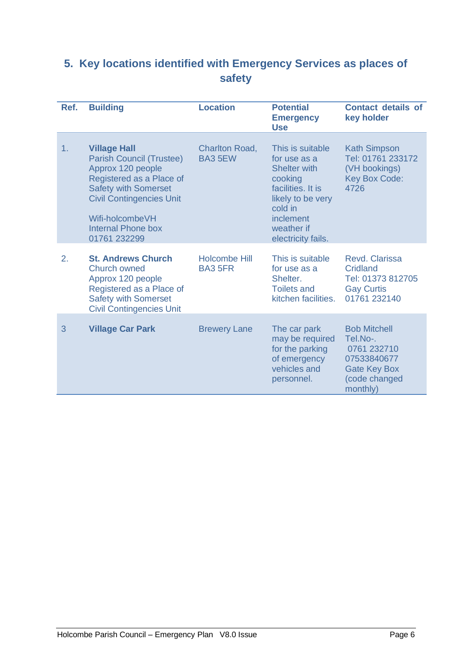# **5. Key locations identified with Emergency Services as places of safety**

| Ref. | <b>Building</b>                                                                                                                                                                                                                           | <b>Location</b>                         | <b>Potential</b><br><b>Emergency</b><br><b>Use</b>                                                                                                                       | <b>Contact details of</b><br>key holder                                                                           |
|------|-------------------------------------------------------------------------------------------------------------------------------------------------------------------------------------------------------------------------------------------|-----------------------------------------|--------------------------------------------------------------------------------------------------------------------------------------------------------------------------|-------------------------------------------------------------------------------------------------------------------|
| 1.   | <b>Village Hall</b><br><b>Parish Council (Trustee)</b><br>Approx 120 people<br>Registered as a Place of<br><b>Safety with Somerset</b><br><b>Civil Contingencies Unit</b><br>Wifi-holcombeVH<br><b>Internal Phone box</b><br>01761 232299 | <b>Charlton Road,</b><br><b>BA3 5EW</b> | This is suitable<br>for use as a<br><b>Shelter with</b><br>cooking<br>facilities. It is<br>likely to be very<br>cold in<br>inclement<br>weather if<br>electricity fails. | <b>Kath Simpson</b><br>Tel: 01761 233172<br>(VH bookings)<br><b>Key Box Code:</b><br>4726                         |
| 2.   | <b>St. Andrews Church</b><br>Church owned<br>Approx 120 people<br>Registered as a Place of<br><b>Safety with Somerset</b><br><b>Civil Contingencies Unit</b>                                                                              | <b>Holcombe Hill</b><br><b>BA3 5FR</b>  | This is suitable<br>for use as a<br>Shelter.<br><b>Toilets and</b><br>kitchen facilities.                                                                                | Revd. Clarissa<br>Cridland<br>Tel: 01373 812705<br><b>Gay Curtis</b><br>01761 232140                              |
| 3    | <b>Village Car Park</b>                                                                                                                                                                                                                   | <b>Brewery Lane</b>                     | The car park<br>may be required<br>for the parking<br>of emergency<br>vehicles and<br>personnel.                                                                         | <b>Bob Mitchell</b><br>Tel.No-.<br>0761 232710<br>07533840677<br><b>Gate Key Box</b><br>(code changed<br>monthly) |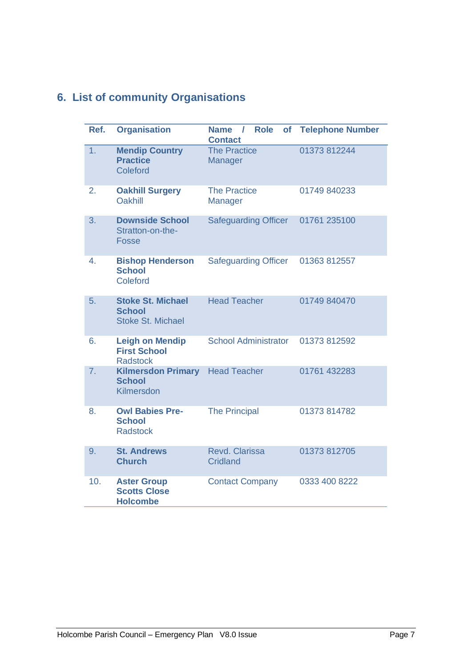# <span id="page-7-0"></span>**6. List of community Organisations**

| Ref. | <b>Organisation</b>                                                   | <b>Role</b><br><b>Name</b><br><b>of</b><br>$\prime$<br><b>Contact</b> | <b>Telephone Number</b> |
|------|-----------------------------------------------------------------------|-----------------------------------------------------------------------|-------------------------|
| 1.   | <b>Mendip Country</b><br><b>Practice</b><br>Coleford                  | <b>The Practice</b><br>Manager                                        | 01373 812244            |
| 2.   | <b>Oakhill Surgery</b><br>Oakhill                                     | <b>The Practice</b><br>Manager                                        | 01749 840233            |
| 3.   | <b>Downside School</b><br>Stratton-on-the-<br><b>Fosse</b>            | <b>Safeguarding Officer</b>                                           | 01761 235100            |
| 4.   | <b>Bishop Henderson</b><br><b>School</b><br>Coleford                  | <b>Safeguarding Officer</b>                                           | 01363 812557            |
| 5.   | <b>Stoke St. Michael</b><br><b>School</b><br><b>Stoke St. Michael</b> | <b>Head Teacher</b>                                                   | 01749 840470            |
| 6.   | <b>Leigh on Mendip</b><br><b>First School</b><br><b>Radstock</b>      | <b>School Administrator</b>                                           | 01373 812592            |
| 7.   | <b>Kilmersdon Primary</b><br><b>School</b><br>Kilmersdon              | <b>Head Teacher</b>                                                   | 01761 432283            |
| 8.   | <b>Owl Babies Pre-</b><br><b>School</b><br><b>Radstock</b>            | <b>The Principal</b>                                                  | 01373 814782            |
| 9.   | <b>St. Andrews</b><br><b>Church</b>                                   | Revd. Clarissa<br><b>Cridland</b>                                     | 01373 812705            |
| 10.  | <b>Aster Group</b><br><b>Scotts Close</b><br><b>Holcombe</b>          | <b>Contact Company</b>                                                | 0333 400 8222           |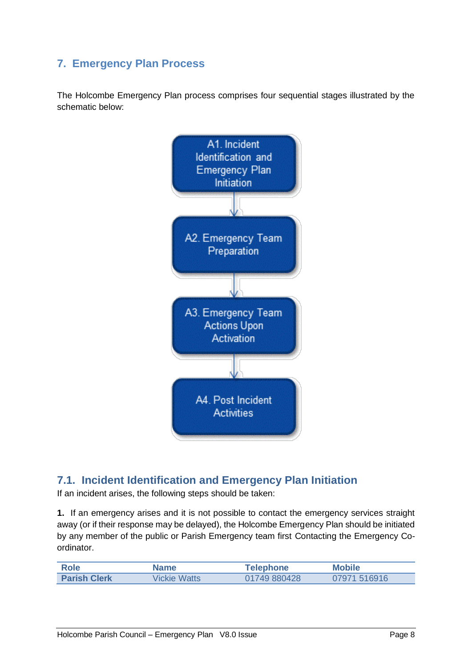# <span id="page-8-0"></span>**7. Emergency Plan Process**

The Holcombe Emergency Plan process comprises four sequential stages illustrated by the schematic below:



### <span id="page-8-1"></span>**7.1. Incident Identification and Emergency Plan Initiation**

If an incident arises, the following steps should be taken:

**1.** If an emergency arises and it is not possible to contact the emergency services straight away (or if their response may be delayed), the Holcombe Emergency Plan should be initiated by any member of the public or Parish Emergency team first Contacting the Emergency Coordinator.

| Role                | Name                | <b>Telephone</b> | <b>Mobile</b> |
|---------------------|---------------------|------------------|---------------|
| <b>Parish Clerk</b> | <b>Vickie Watts</b> | 01749 880428     | 07971 516916  |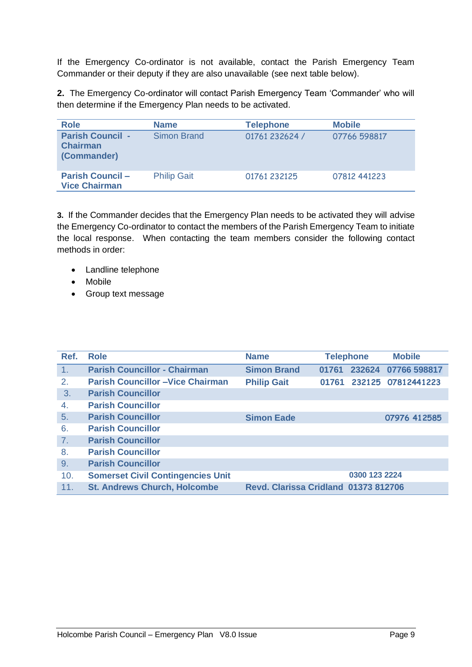If the Emergency Co-ordinator is not available, contact the Parish Emergency Team Commander or their deputy if they are also unavailable (see next table below).

**2.** The Emergency Co-ordinator will contact Parish Emergency Team 'Commander' who will then determine if the Emergency Plan needs to be activated.

| <b>Role</b>                                               | <b>Name</b>        | <b>Telephone</b> | <b>Mobile</b> |
|-----------------------------------------------------------|--------------------|------------------|---------------|
| <b>Parish Council -</b><br><b>Chairman</b><br>(Commander) | Simon Brand        | 01761 232624 /   | 07766 598817  |
| <b>Parish Council -</b><br><b>Vice Chairman</b>           | <b>Philip Gait</b> | 01761 232125     | 07812 441223  |

**3.** If the Commander decides that the Emergency Plan needs to be activated they will advise the Emergency Co-ordinator to contact the members of the Parish Emergency Team to initiate the local response. When contacting the team members consider the following contact methods in order:

- Landline telephone
- Mobile
- Group text message

| Ref.         | <b>Role</b>                              | <b>Name</b>                          |       | <b>Telephone</b> | <b>Mobile</b>       |
|--------------|------------------------------------------|--------------------------------------|-------|------------------|---------------------|
| 1.           | <b>Parish Councillor - Chairman</b>      | <b>Simon Brand</b>                   | 01761 |                  | 232624 07766 598817 |
| 2.           | <b>Parish Councillor -Vice Chairman</b>  | <b>Philip Gait</b>                   | 01761 |                  | 232125 07812441223  |
| 3.           | <b>Parish Councillor</b>                 |                                      |       |                  |                     |
| $\mathbf{4}$ | <b>Parish Councillor</b>                 |                                      |       |                  |                     |
| 5.           | <b>Parish Councillor</b>                 | <b>Simon Eade</b>                    |       |                  | 07976 412585        |
| 6.           | <b>Parish Councillor</b>                 |                                      |       |                  |                     |
| 7.           | <b>Parish Councillor</b>                 |                                      |       |                  |                     |
| 8.           | <b>Parish Councillor</b>                 |                                      |       |                  |                     |
| 9.           | <b>Parish Councillor</b>                 |                                      |       |                  |                     |
| 10.          | <b>Somerset Civil Contingencies Unit</b> |                                      |       | 0300 123 2224    |                     |
| 11.          | <b>St. Andrews Church, Holcombe</b>      | Revd. Clarissa Cridland 01373 812706 |       |                  |                     |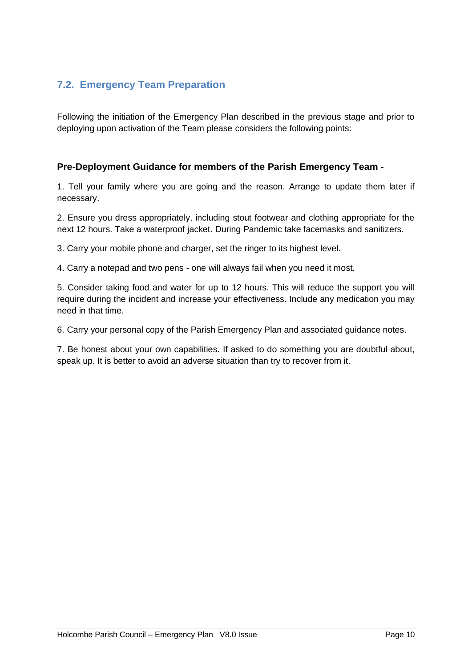### <span id="page-10-0"></span>**7.2. Emergency Team Preparation**

Following the initiation of the Emergency Plan described in the previous stage and prior to deploying upon activation of the Team please considers the following points:

### **Pre-Deployment Guidance for members of the Parish Emergency Team -**

1. Tell your family where you are going and the reason. Arrange to update them later if necessary.

2. Ensure you dress appropriately, including stout footwear and clothing appropriate for the next 12 hours. Take a waterproof jacket. During Pandemic take facemasks and sanitizers.

3. Carry your mobile phone and charger, set the ringer to its highest level.

4. Carry a notepad and two pens - one will always fail when you need it most.

5. Consider taking food and water for up to 12 hours. This will reduce the support you will require during the incident and increase your effectiveness. Include any medication you may need in that time.

6. Carry your personal copy of the Parish Emergency Plan and associated guidance notes.

7. Be honest about your own capabilities. If asked to do something you are doubtful about, speak up. It is better to avoid an adverse situation than try to recover from it.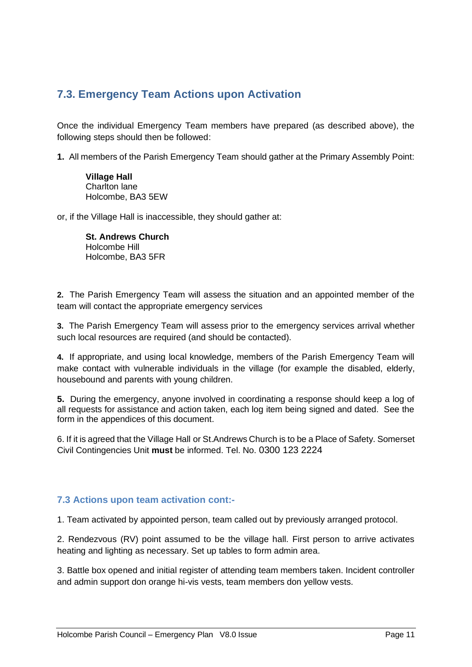# <span id="page-11-0"></span>**7.3. Emergency Team Actions upon Activation**

Once the individual Emergency Team members have prepared (as described above), the following steps should then be followed:

**1.** All members of the Parish Emergency Team should gather at the Primary Assembly Point:

**Village Hall**  Charlton lane Holcombe, BA3 5EW

or, if the Village Hall is inaccessible, they should gather at:

**St. Andrews Church**  Holcombe Hill Holcombe, BA3 5FR

**2.** The Parish Emergency Team will assess the situation and an appointed member of the team will contact the appropriate emergency services

**3.** The Parish Emergency Team will assess prior to the emergency services arrival whether such local resources are required (and should be contacted).

**4.** If appropriate, and using local knowledge, members of the Parish Emergency Team will make contact with vulnerable individuals in the village (for example the disabled, elderly, housebound and parents with young children.

**5.** During the emergency, anyone involved in coordinating a response should keep a log of all requests for assistance and action taken, each log item being signed and dated. See the form in the appendices of this document.

6. If it is agreed that the Village Hall or St.Andrews Church is to be a Place of Safety. Somerset Civil Contingencies Unit **must** be informed. Tel. No. 0300 123 2224

### **7.3 Actions upon team activation cont:-**

1. Team activated by appointed person, team called out by previously arranged protocol.

2. Rendezvous (RV) point assumed to be the village hall. First person to arrive activates heating and lighting as necessary. Set up tables to form admin area.

3. Battle box opened and initial register of attending team members taken. Incident controller and admin support don orange hi-vis vests, team members don yellow vests.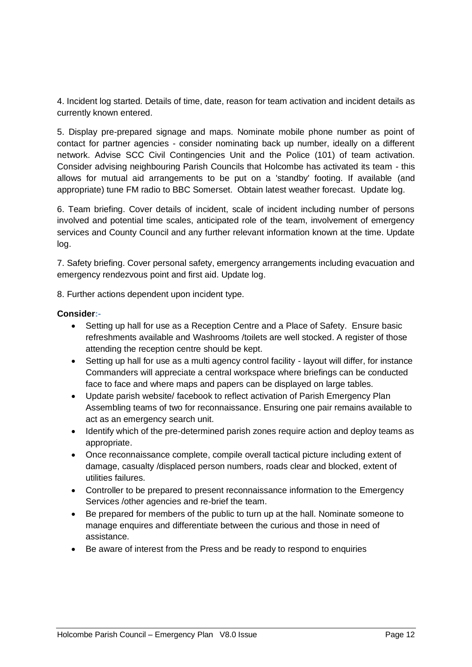4. Incident log started. Details of time, date, reason for team activation and incident details as currently known entered.

5. Display pre-prepared signage and maps. Nominate mobile phone number as point of contact for partner agencies - consider nominating back up number, ideally on a different network. Advise SCC Civil Contingencies Unit and the Police (101) of team activation. Consider advising neighbouring Parish Councils that Holcombe has activated its team - this allows for mutual aid arrangements to be put on a 'standby' footing. If available (and appropriate) tune FM radio to BBC Somerset. Obtain latest weather forecast. Update log.

6. Team briefing. Cover details of incident, scale of incident including number of persons involved and potential time scales, anticipated role of the team, involvement of emergency services and County Council and any further relevant information known at the time. Update log.

7. Safety briefing. Cover personal safety, emergency arrangements including evacuation and emergency rendezvous point and first aid. Update log.

8. Further actions dependent upon incident type.

### **Consider:-**

- Setting up hall for use as a Reception Centre and a Place of Safety. Ensure basic refreshments available and Washrooms /toilets are well stocked. A register of those attending the reception centre should be kept.
- Setting up hall for use as a multi agency control facility layout will differ, for instance Commanders will appreciate a central workspace where briefings can be conducted face to face and where maps and papers can be displayed on large tables.
- Update parish website/ facebook to reflect activation of Parish Emergency Plan Assembling teams of two for reconnaissance. Ensuring one pair remains available to act as an emergency search unit.
- Identify which of the pre-determined parish zones require action and deploy teams as appropriate.
- Once reconnaissance complete, compile overall tactical picture including extent of damage, casualty /displaced person numbers, roads clear and blocked, extent of utilities failures.
- Controller to be prepared to present reconnaissance information to the Emergency Services /other agencies and re-brief the team.
- Be prepared for members of the public to turn up at the hall. Nominate someone to manage enquires and differentiate between the curious and those in need of assistance.
- Be aware of interest from the Press and be ready to respond to enquiries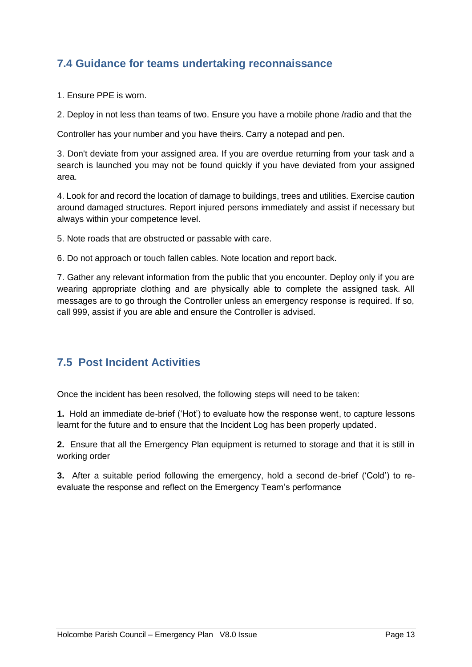# <span id="page-13-0"></span>**7.4 Guidance for teams undertaking reconnaissance**

1. Ensure PPE is worn.

2. Deploy in not less than teams of two. Ensure you have a mobile phone /radio and that the

Controller has your number and you have theirs. Carry a notepad and pen.

3. Don't deviate from your assigned area. If you are overdue returning from your task and a search is launched you may not be found quickly if you have deviated from your assigned area.

4. Look for and record the location of damage to buildings, trees and utilities. Exercise caution around damaged structures. Report injured persons immediately and assist if necessary but always within your competence level.

5. Note roads that are obstructed or passable with care.

6. Do not approach or touch fallen cables. Note location and report back.

7. Gather any relevant information from the public that you encounter. Deploy only if you are wearing appropriate clothing and are physically able to complete the assigned task. All messages are to go through the Controller unless an emergency response is required. If so, call 999, assist if you are able and ensure the Controller is advised.

### <span id="page-13-1"></span>**7.5 Post Incident Activities**

Once the incident has been resolved, the following steps will need to be taken:

**1.** Hold an immediate de-brief ('Hot') to evaluate how the response went, to capture lessons learnt for the future and to ensure that the Incident Log has been properly updated.

**2.** Ensure that all the Emergency Plan equipment is returned to storage and that it is still in working order

**3.** After a suitable period following the emergency, hold a second de-brief ('Cold') to reevaluate the response and reflect on the Emergency Team's performance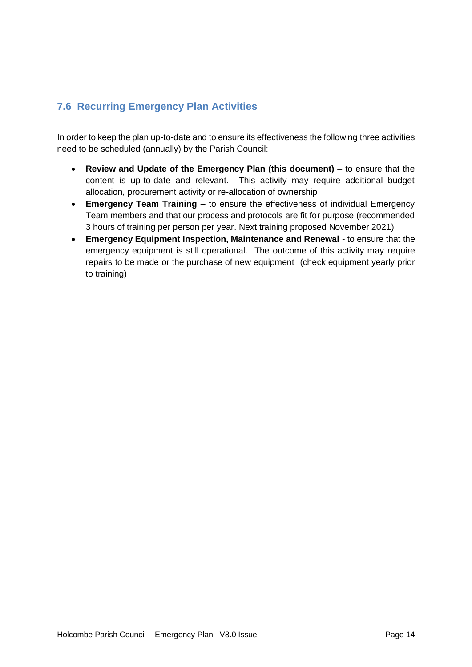# <span id="page-14-0"></span>**7.6 Recurring Emergency Plan Activities**

In order to keep the plan up-to-date and to ensure its effectiveness the following three activities need to be scheduled (annually) by the Parish Council:

- **Review and Update of the Emergency Plan (this document) –** to ensure that the content is up-to-date and relevant. This activity may require additional budget allocation, procurement activity or re-allocation of ownership
- **Emergency Team Training –** to ensure the effectiveness of individual Emergency Team members and that our process and protocols are fit for purpose (recommended 3 hours of training per person per year. Next training proposed November 2021)
- **Emergency Equipment Inspection, Maintenance and Renewal** to ensure that the emergency equipment is still operational. The outcome of this activity may require repairs to be made or the purchase of new equipment (check equipment yearly prior to training)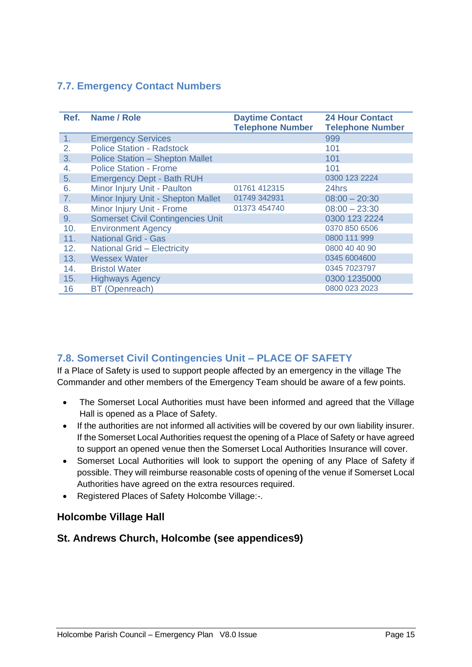### <span id="page-15-0"></span>**7.7. Emergency Contact Numbers**

| Ref.           | Name / Role                              | <b>Daytime Contact</b><br><b>Telephone Number</b> | <b>24 Hour Contact</b><br><b>Telephone Number</b> |
|----------------|------------------------------------------|---------------------------------------------------|---------------------------------------------------|
| 1 <sub>1</sub> | <b>Emergency Services</b>                |                                                   | 999                                               |
| 2.             | <b>Police Station - Radstock</b>         |                                                   | 101                                               |
| 3.             | <b>Police Station - Shepton Mallet</b>   |                                                   | 101                                               |
| 4.             | <b>Police Station - Frome</b>            |                                                   | 101                                               |
| 5.             | <b>Emergency Dept - Bath RUH</b>         |                                                   | 0300 123 2224                                     |
| 6.             | Minor Injury Unit - Paulton              | 01761 412315                                      | 24hrs                                             |
| 7.             | Minor Injury Unit - Shepton Mallet       | 01749 342931                                      | $08:00 - 20:30$                                   |
| 8.             | Minor Injury Unit - Frome                | 01373 454740                                      | $08:00 - 23:30$                                   |
| 9.             | <b>Somerset Civil Contingencies Unit</b> |                                                   | 0300 123 2224                                     |
| 10.            | <b>Environment Agency</b>                |                                                   | 0370 850 6506                                     |
| 11.            | <b>National Grid - Gas</b>               |                                                   | 0800 111 999                                      |
| 12.            | <b>National Grid - Electricity</b>       |                                                   | 0800 40 40 90                                     |
| 13.            | <b>Wessex Water</b>                      |                                                   | 0345 6004600                                      |
| 14.            | <b>Bristol Water</b>                     |                                                   | 0345 7023797                                      |
| 15.            | <b>Highways Agency</b>                   |                                                   | 0300 1235000                                      |
| 16             | <b>BT</b> (Openreach)                    |                                                   | 0800 023 2023                                     |

### <span id="page-15-1"></span>**7.8. Somerset Civil Contingencies Unit – PLACE OF SAFETY**

If a Place of Safety is used to support people affected by an emergency in the village The Commander and other members of the Emergency Team should be aware of a few points.

- The Somerset Local Authorities must have been informed and agreed that the Village Hall is opened as a Place of Safety.
- If the authorities are not informed all activities will be covered by our own liability insurer. If the Somerset Local Authorities request the opening of a Place of Safety or have agreed to support an opened venue then the Somerset Local Authorities Insurance will cover.
- Somerset Local Authorities will look to support the opening of any Place of Safety if possible. They will reimburse reasonable costs of opening of the venue if Somerset Local Authorities have agreed on the extra resources required.
- Registered Places of Safety Holcombe Village:-.

### **Holcombe Village Hall**

### **St. Andrews Church, Holcombe (see appendices9)**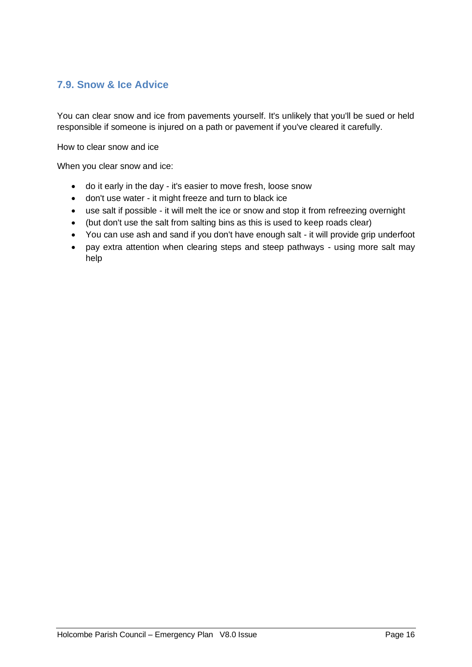### <span id="page-16-0"></span>**7.9. Snow & Ice Advice**

You can clear snow and ice from pavements yourself. It's unlikely that you'll be sued or held responsible if someone is injured on a path or pavement if you've cleared it carefully.

How to clear snow and ice

When you clear snow and ice:

- do it early in the day it's easier to move fresh, loose snow
- don't use water it might freeze and turn to black ice
- use salt if possible it will melt the ice or snow and stop it from refreezing overnight
- (but don't use the salt from salting bins as this is used to keep roads clear)
- You can use ash and sand if you don't have enough salt it will provide grip underfoot
- pay extra attention when clearing steps and steep pathways using more salt may help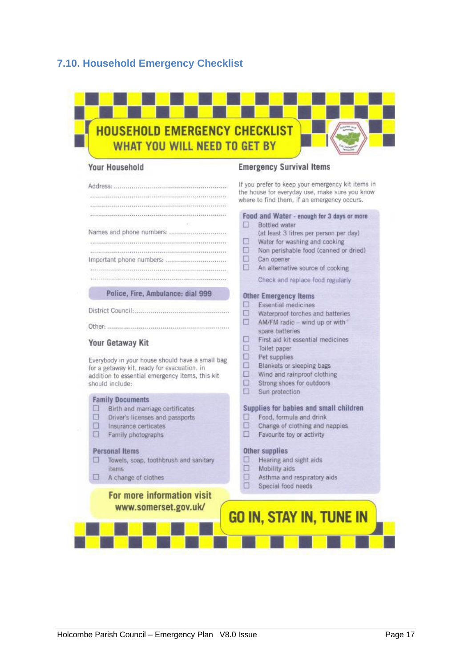### <span id="page-17-0"></span>**7.10. Household Emergency Checklist**



#### **Your Household**

#### **Emergency Survival Items**

**Bottled** water

**Other Emergency Items**  $\square$  Essential medicines

spare batteries

 $\Box$  Toilet paper  $\Box$  Pet supplies

 $\Box$  Sun protection

Other supplies

 $\Box$ 

 $\Box$ 

 $\square$  Can opener

 $\Box$ 

If you prefer to keep your emergency kit items in the house for everyday use, make sure you know where to find them, if an emergency occurs.

Food and Water - enough for 3 days or more

 $\Box$  Water for washing and cooking □ Non perishable food (canned or dried)

 $\Box$  An alternative source of cooking Check and replace food regularly

 $\Box$  Waterproof torches and batteries  $\Box$  AM/FM radio - wind up or with

 $\Box$  First aid kit essential medicines

Blankets or sleeping bags

 $\Box$  Strong shoes for outdoors

 $\Box$  Food, formula and drink

 $\Box$  Favourite toy or activity

 $\Box$  Hearing and sight aids

 $\Box$  Asthma and respiratory aids

**GO IN, STAY IN, TUNE IN** 

Mobility aids

 $\square$  Special food needs

 $\Box$  Wind and rainproof clothing

Supplies for babies and small children

Change of clothing and nappies

(at least 3 litres per person per day)

#### Your Getaway Kit

Everybody in your house should have a small bag for a getaway kit, ready for evacuation, in addition to essential emergency items, this kit should include:

#### **Family Documents**

- $\Box$  Birth and marriage certificates
- $\Box$ Driver's licenses and passports
- $\Box$ Insurance certicates
- $\Box$  Family photographs

#### **Personal Items**

- □ Towels, soap, toothbrush and sanitary **Items**
- A change of clothes  $\Box$

### For more information visit www.somerset.gov.uk/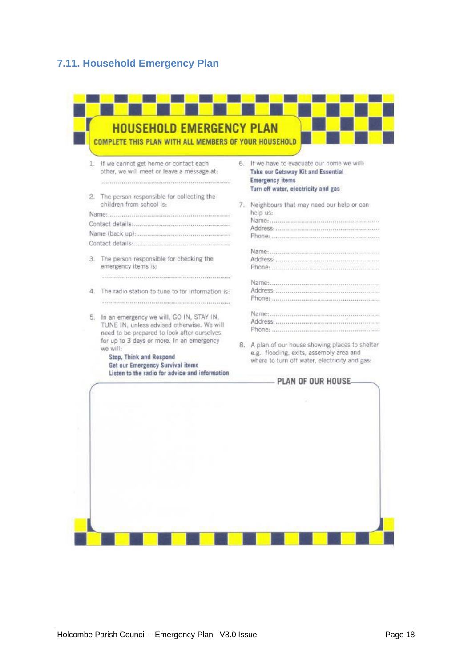### <span id="page-18-0"></span>**7.11. Household Emergency Plan**

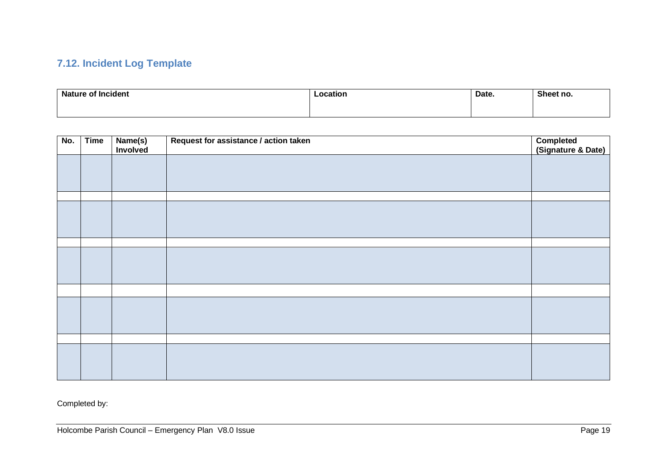# **7.12. Incident Log Template**

| <b>Nature of Incident</b> | Location<br>___ | Date. | Sheet no. |
|---------------------------|-----------------|-------|-----------|
|                           |                 |       |           |

<span id="page-19-0"></span>

| No. | Time | Name(s)<br>Involved | Request for assistance / action taken | Completed<br>(Signature & Date) |
|-----|------|---------------------|---------------------------------------|---------------------------------|
|     |      |                     |                                       |                                 |
|     |      |                     |                                       |                                 |
|     |      |                     |                                       |                                 |
|     |      |                     |                                       |                                 |
|     |      |                     |                                       |                                 |
|     |      |                     |                                       |                                 |
|     |      |                     |                                       |                                 |
|     |      |                     |                                       |                                 |
|     |      |                     |                                       |                                 |
|     |      |                     |                                       |                                 |
|     |      |                     |                                       |                                 |
|     |      |                     |                                       |                                 |
|     |      |                     |                                       |                                 |
|     |      |                     |                                       |                                 |
|     |      |                     |                                       |                                 |
|     |      |                     |                                       |                                 |
|     |      |                     |                                       |                                 |

Completed by: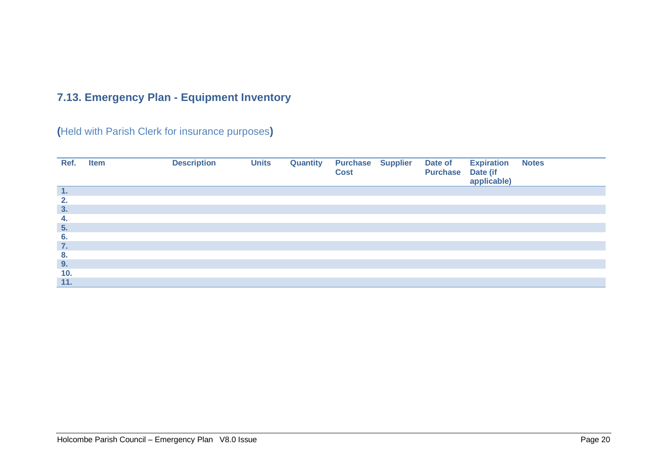# **7.13. Emergency Plan - Equipment Inventory**

**(**Held with Parish Clerk for insurance purposes**)**

<span id="page-20-0"></span>

| Ref. | <b>Item</b> | <b>Description</b> | <b>Units</b> | <b>Quantity</b> | <b>Purchase Supplier</b><br><b>Cost</b> | Date of<br><b>Purchase</b> Date (if | <b>Expiration</b><br>applicable) | <b>Notes</b> |
|------|-------------|--------------------|--------------|-----------------|-----------------------------------------|-------------------------------------|----------------------------------|--------------|
| 1.   |             |                    |              |                 |                                         |                                     |                                  |              |
| 2.   |             |                    |              |                 |                                         |                                     |                                  |              |
| 3.   |             |                    |              |                 |                                         |                                     |                                  |              |
| 4.   |             |                    |              |                 |                                         |                                     |                                  |              |
| 5.   |             |                    |              |                 |                                         |                                     |                                  |              |
| 6.   |             |                    |              |                 |                                         |                                     |                                  |              |
| 7.   |             |                    |              |                 |                                         |                                     |                                  |              |
| 8.   |             |                    |              |                 |                                         |                                     |                                  |              |
| 9.   |             |                    |              |                 |                                         |                                     |                                  |              |
| 10.  |             |                    |              |                 |                                         |                                     |                                  |              |
| 11.  |             |                    |              |                 |                                         |                                     |                                  |              |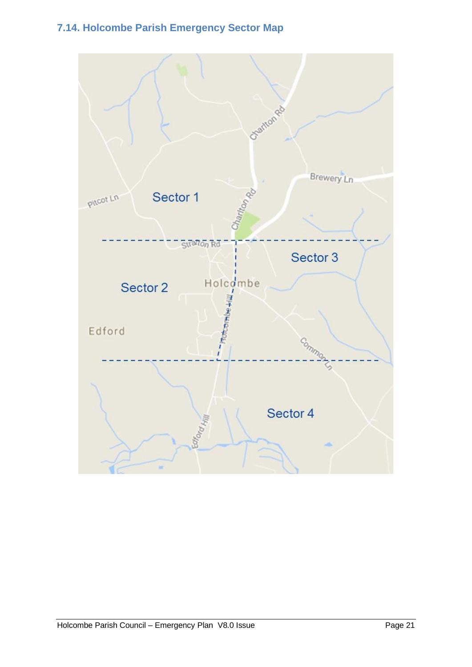# <span id="page-21-0"></span>**7.14. Holcombe Parish Emergency Sector Map**

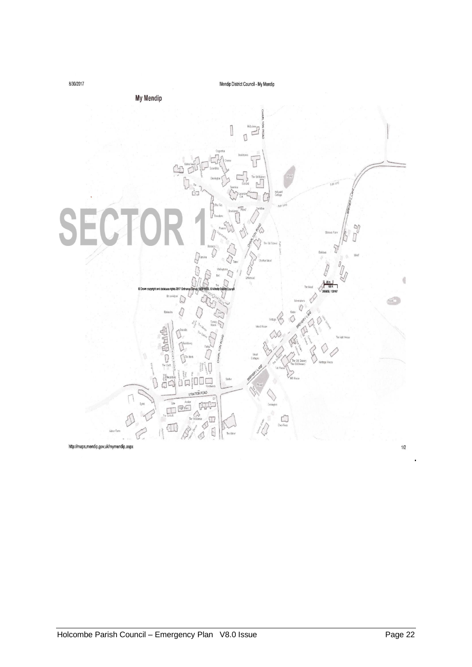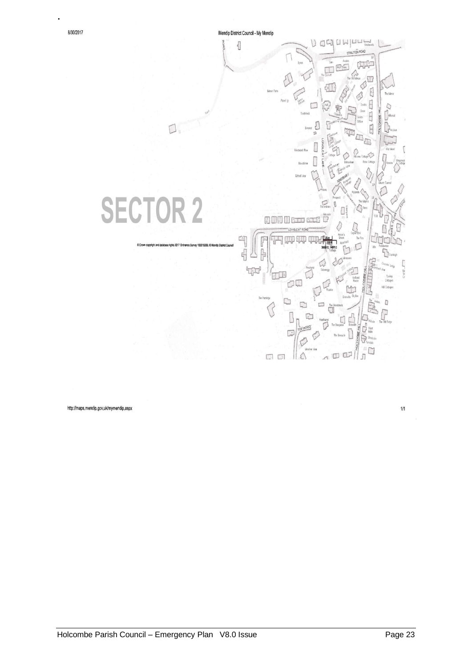

http://maps.mendip.gov.uk/mymendip.aspx

 $1/1$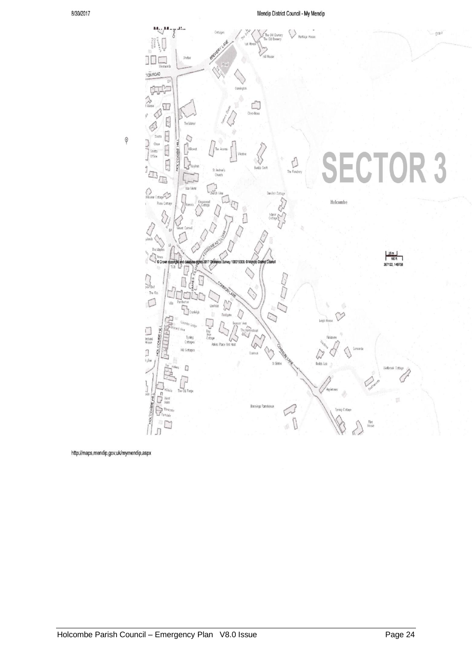

http://maps.mendip.gov.uk/mymendip.aspx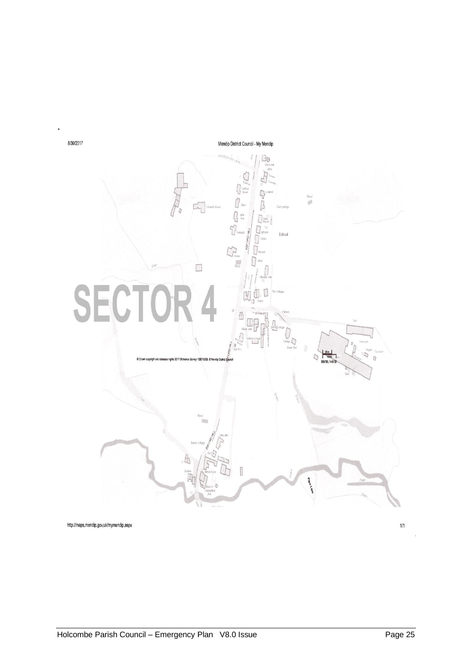

http://maps.mendip.gov.uk/mymendip.aspx

l.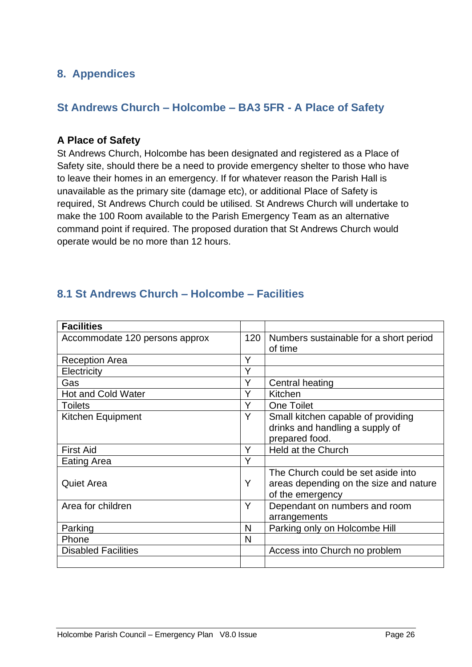# **8. Appendices**

### **St Andrews Church – Holcombe – BA3 5FR - A Place of Safety**

### **A Place of Safety**

St Andrews Church, Holcombe has been designated and registered as a Place of Safety site, should there be a need to provide emergency shelter to those who have to leave their homes in an emergency. If for whatever reason the Parish Hall is unavailable as the primary site (damage etc), or additional Place of Safety is required, St Andrews Church could be utilised. St Andrews Church will undertake to make the 100 Room available to the Parish Emergency Team as an alternative command point if required. The proposed duration that St Andrews Church would operate would be no more than 12 hours.

# <span id="page-26-0"></span>**8.1 St Andrews Church – Holcombe – Facilities**

| <b>Facilities</b>              |     |                                                                                                  |
|--------------------------------|-----|--------------------------------------------------------------------------------------------------|
| Accommodate 120 persons approx | 120 | Numbers sustainable for a short period<br>of time                                                |
| <b>Reception Area</b>          | Y   |                                                                                                  |
| Electricity                    | Υ   |                                                                                                  |
| Gas                            | Y   | Central heating                                                                                  |
| <b>Hot and Cold Water</b>      | Y   | Kitchen                                                                                          |
| <b>Toilets</b>                 | Y   | <b>One Toilet</b>                                                                                |
| Kitchen Equipment              | Y   | Small kitchen capable of providing<br>drinks and handling a supply of<br>prepared food.          |
| <b>First Aid</b>               | Y   | <b>Held at the Church</b>                                                                        |
| Eating Area                    | Y   |                                                                                                  |
| <b>Quiet Area</b>              | Y   | The Church could be set aside into<br>areas depending on the size and nature<br>of the emergency |
| Area for children              | Y   | Dependant on numbers and room<br>arrangements                                                    |
| Parking                        | N   | Parking only on Holcombe Hill                                                                    |
| Phone                          | N   |                                                                                                  |
| <b>Disabled Facilities</b>     |     | Access into Church no problem                                                                    |
|                                |     |                                                                                                  |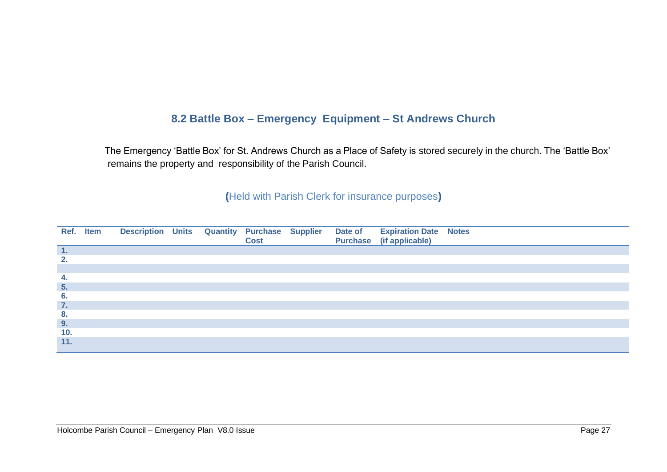# **8.2 Battle Box – Emergency Equipment – St Andrews Church**

 The Emergency 'Battle Box' for St. Andrews Church as a Place of Safety is stored securely in the church. The 'Battle Box' remains the property and responsibility of the Parish Council.

### **(**Held with Parish Clerk for insurance purposes**)**

<span id="page-27-0"></span>

|        | Ref. Item | Description Units Quantity Purchase Supplier |  | <b>Cost</b> |  | Date of Expiration Date Notes<br>Purchase (if applicable) |  |
|--------|-----------|----------------------------------------------|--|-------------|--|-----------------------------------------------------------|--|
| $\P$ . |           |                                              |  |             |  |                                                           |  |
| 2.     |           |                                              |  |             |  |                                                           |  |
|        |           |                                              |  |             |  |                                                           |  |
| 4.     |           |                                              |  |             |  |                                                           |  |
| 5.     |           |                                              |  |             |  |                                                           |  |
| 6.     |           |                                              |  |             |  |                                                           |  |
| 7.     |           |                                              |  |             |  |                                                           |  |
| 8.     |           |                                              |  |             |  |                                                           |  |
| 9.     |           |                                              |  |             |  |                                                           |  |
| 10.    |           |                                              |  |             |  |                                                           |  |
| 11.    |           |                                              |  |             |  |                                                           |  |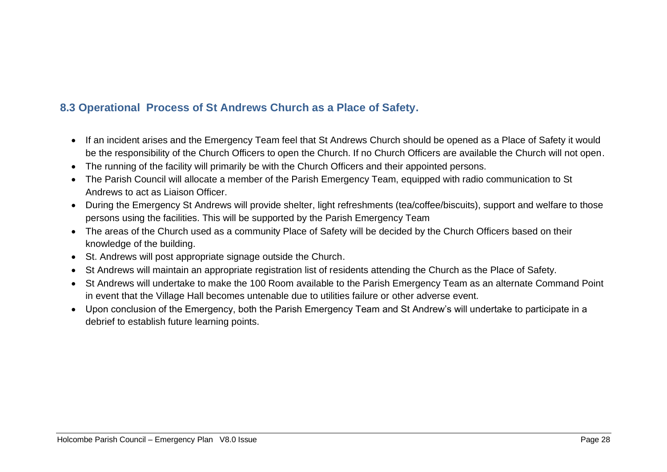# **8.3 Operational Process of St Andrews Church as a Place of Safety.**

- If an incident arises and the Emergency Team feel that St Andrews Church should be opened as a Place of Safety it would be the responsibility of the Church Officers to open the Church. If no Church Officers are available the Church will not open.
- The running of the facility will primarily be with the Church Officers and their appointed persons.
- The Parish Council will allocate a member of the Parish Emergency Team, equipped with radio communication to St Andrews to act as Liaison Officer.
- During the Emergency St Andrews will provide shelter, light refreshments (tea/coffee/biscuits), support and welfare to those persons using the facilities. This will be supported by the Parish Emergency Team
- The areas of the Church used as a community Place of Safety will be decided by the Church Officers based on their knowledge of the building.
- St. Andrews will post appropriate signage outside the Church.
- St Andrews will maintain an appropriate registration list of residents attending the Church as the Place of Safety.
- <span id="page-28-0"></span>• St Andrews will undertake to make the 100 Room available to the Parish Emergency Team as an alternate Command Point in event that the Village Hall becomes untenable due to utilities failure or other adverse event.
- Upon conclusion of the Emergency, both the Parish Emergency Team and St Andrew's will undertake to participate in a debrief to establish future learning points.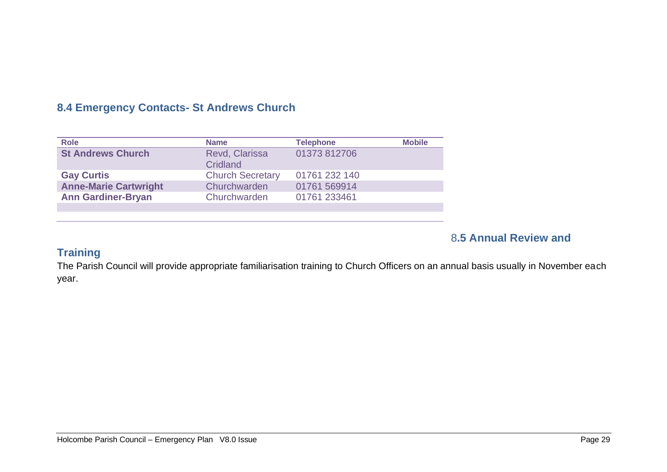# **8.4 Emergency Contacts- St Andrews Church**

| <b>Role</b>                  | <b>Name</b>                | <b>Telephone</b> | <b>Mobile</b> |
|------------------------------|----------------------------|------------------|---------------|
| <b>St Andrews Church</b>     | Revd, Clarissa<br>Cridland | 01373 812706     |               |
| <b>Gay Curtis</b>            | <b>Church Secretary</b>    | 01761 232 140    |               |
| <b>Anne-Marie Cartwright</b> | Churchwarden               | 01761 569914     |               |
| <b>Ann Gardiner-Bryan</b>    | Churchwarden               | 01761 233461     |               |
|                              |                            |                  |               |

### <span id="page-29-1"></span>8**.5 Annual Review and**

# <span id="page-29-0"></span>**Training**

The Parish Council will provide appropriate familiarisation training to Church Officers on an annual basis usually in November each year.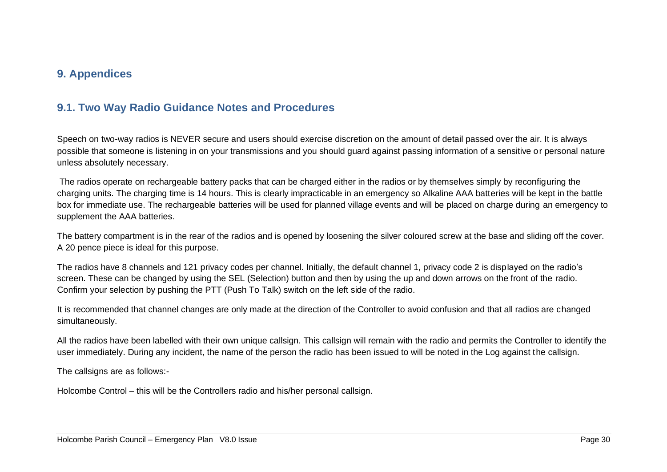### **9. Appendices**

### **9.1. Two Way Radio Guidance Notes and Procedures**

Speech on two-way radios is NEVER secure and users should exercise discretion on the amount of detail passed over the air. It is always possible that someone is listening in on your transmissions and you should guard against passing information of a sensitive or personal nature unless absolutely necessary.

The radios operate on rechargeable battery packs that can be charged either in the radios or by themselves simply by reconfiguring the charging units. The charging time is 14 hours. This is clearly impracticable in an emergency so Alkaline AAA batteries will be kept in the battle box for immediate use. The rechargeable batteries will be used for planned village events and will be placed on charge during an emergency to supplement the AAA batteries.

The battery compartment is in the rear of the radios and is opened by loosening the silver coloured screw at the base and sliding off the cover. A 20 pence piece is ideal for this purpose.

<span id="page-30-0"></span>The radios have 8 channels and 121 privacy codes per channel. Initially, the default channel 1, privacy code 2 is displayed on the radio's screen. These can be changed by using the SEL (Selection) button and then by using the up and down arrows on the front of the radio. Confirm your selection by pushing the PTT (Push To Talk) switch on the left side of the radio.

It is recommended that channel changes are only made at the direction of the Controller to avoid confusion and that all radios are changed simultaneously.

All the radios have been labelled with their own unique callsign. This callsign will remain with the radio and permits the Controller to identify the user immediately. During any incident, the name of the person the radio has been issued to will be noted in the Log against the callsign.

The callsigns are as follows:-

Holcombe Control – this will be the Controllers radio and his/her personal callsign.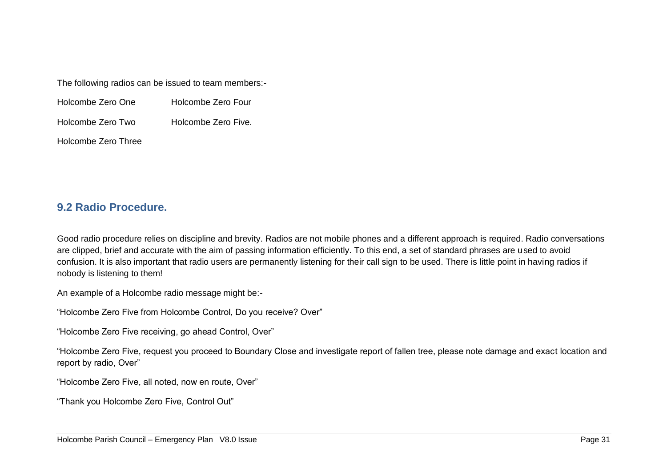The following radios can be issued to team members:-

| Holcombe Zero One | Holcombe Zero Four |
|-------------------|--------------------|
|-------------------|--------------------|

Holcombe Zero Two Holcombe Zero Five.

Holcombe Zero Three

### **9.2 Radio Procedure.**

Good radio procedure relies on discipline and brevity. Radios are not mobile phones and a different approach is required. Radio conversations are clipped, brief and accurate with the aim of passing information efficiently. To this end, a set of standard phrases are used to avoid confusion. It is also important that radio users are permanently listening for their call sign to be used. There is little point in having radios if nobody is listening to them!

An example of a Holcombe radio message might be:-

"Holcombe Zero Five from Holcombe Control, Do you receive? Over"

"Holcombe Zero Five receiving, go ahead Control, Over"

<span id="page-31-0"></span>"Holcombe Zero Five, request you proceed to Boundary Close and investigate report of fallen tree, please note damage and exact location and report by radio, Over"

"Holcombe Zero Five, all noted, now en route, Over"

"Thank you Holcombe Zero Five, Control Out"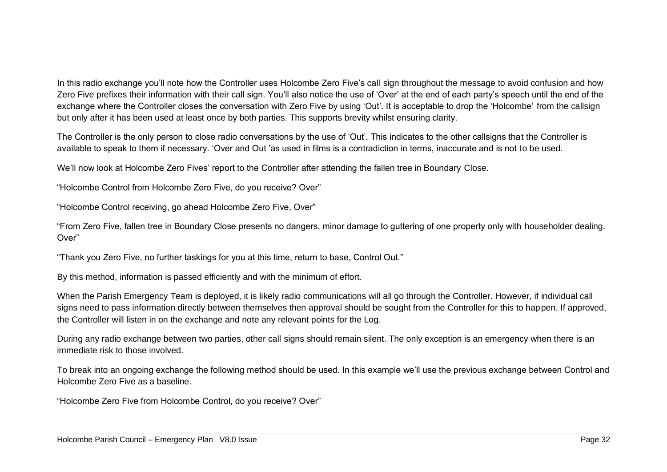In this radio exchange you'll note how the Controller uses Holcombe Zero Five's call sign throughout the message to avoid confusion and how Zero Five prefixes their information with their call sign. You'll also notice the use of 'Over' at the end of each party's speech until the end of the exchange where the Controller closes the conversation with Zero Five by using 'Out'. It is acceptable to drop the 'Holcombe' from the callsign but only after it has been used at least once by both parties. This supports brevity whilst ensuring clarity.

The Controller is the only person to close radio conversations by the use of 'Out'. This indicates to the other callsigns that the Controller is available to speak to them if necessary. 'Over and Out 'as used in films is a contradiction in terms, inaccurate and is not to be used.

We'll now look at Holcombe Zero Fives' report to the Controller after attending the fallen tree in Boundary Close.

"Holcombe Control from Holcombe Zero Five, do you receive? Over"

"Holcombe Control receiving, go ahead Holcombe Zero Five, Over"

"From Zero Five, fallen tree in Boundary Close presents no dangers, minor damage to guttering of one property only with householder dealing. Over"

"Thank you Zero Five, no further taskings for you at this time, return to base, Control Out."

By this method, information is passed efficiently and with the minimum of effort.

When the Parish Emergency Team is deployed, it is likely radio communications will all go through the Controller. However, if individual call signs need to pass information directly between themselves then approval should be sought from the Controller for this to happen. If approved, the Controller will listen in on the exchange and note any relevant points for the Log.

During any radio exchange between two parties, other call signs should remain silent. The only exception is an emergency when there is an immediate risk to those involved.

To break into an ongoing exchange the following method should be used. In this example we'll use the previous exchange between Control and Holcombe Zero Five as a baseline.

"Holcombe Zero Five from Holcombe Control, do you receive? Over"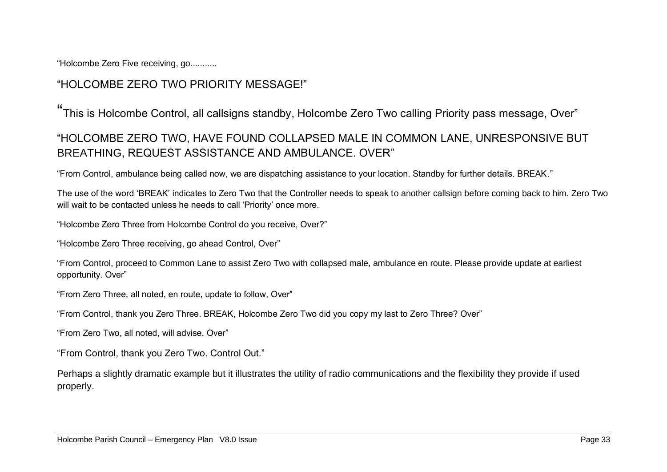"Holcombe Zero Five receiving, go...........

# "HOLCOMBE ZERO TWO PRIORITY MESSAGE!"

" This is Holcombe Control, all callsigns standby, Holcombe Zero Two calling Priority pass message, Over"

# "HOLCOMBE ZERO TWO, HAVE FOUND COLLAPSED MALE IN COMMON LANE, UNRESPONSIVE BUT BREATHING, REQUEST ASSISTANCE AND AMBULANCE. OVER"

"From Control, ambulance being called now, we are dispatching assistance to your location. Standby for further details. BREAK."

The use of the word 'BREAK' indicates to Zero Two that the Controller needs to speak to another callsign before coming back to him. Zero Two will wait to be contacted unless he needs to call 'Priority' once more.

"Holcombe Zero Three from Holcombe Control do you receive, Over?"

"Holcombe Zero Three receiving, go ahead Control, Over"

"From Control, proceed to Common Lane to assist Zero Two with collapsed male, ambulance en route. Please provide update at earliest opportunity. Over"

"From Zero Three, all noted, en route, update to follow, Over"

"From Control, thank you Zero Three. BREAK, Holcombe Zero Two did you copy my last to Zero Three? Over"

"From Zero Two, all noted, will advise. Over"

"From Control, thank you Zero Two. Control Out."

Perhaps a slightly dramatic example but it illustrates the utility of radio communications and the flexibility they provide if used properly.